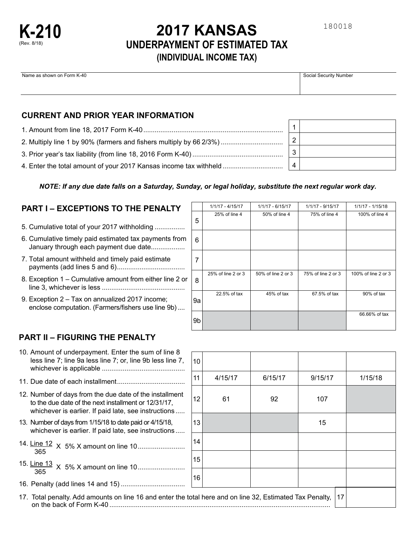

# **2017 KANSAS UNDERPAYMENT OF ESTIMATED TAX (INDIVIDUAL INCOME TAX)**

| Name as shown on Form K-40 | Social Security Number |
|----------------------------|------------------------|
|                            |                        |
|                            |                        |

## **CURRENT AND PRIOR YEAR INFORMATION**

| 2. Multiply line 1 by 90% (farmers and fishers multiply by 66 2/3%) | 2 |  |
|---------------------------------------------------------------------|---|--|
|                                                                     | 3 |  |
| 4. Enter the total amount of your 2017 Kansas income tax withheld   | 4 |  |

### *NOTE: If any due date falls on a Saturday, Sunday, or legal holiday, substitute the next regular work day.*

## **PART I – EXCEPTIONS TO THE PENALTY**

- ................ 5. Cumulative total of your 2017 withholding
- January through each payment due date................. 6. Cumulative timely paid estimated tax payments from
- .................................... payments (add lines 5 and 6) 7. Total amount withheld and timely paid estimate
- ............................................ line 3, whichever is less 8. Exception 1 – Cumulative amount from either line 2 or
- .... enclose computation. (Farmers/fishers use line 9b) 9. Exception 2 – Tax on annualized 2017 income;

|    | $1/1/17 - 4/15/17$ | 1/1/17 - 6/15/17   | 1/1/17 - 9/15/17   | $1/1/17 - 1/15/18$  |
|----|--------------------|--------------------|--------------------|---------------------|
| 5  | 25% of line 4      | 50% of line 4      | 75% of line 4      | 100% of line 4      |
| 6  |                    |                    |                    |                     |
| 7  |                    |                    |                    |                     |
| 8  | 25% of line 2 or 3 | 50% of line 2 or 3 | 75% of line 2 or 3 | 100% of line 2 or 3 |
| 9а | 22.5% of tax       | 45% of tax         | 67.5% of tax       | 90% of tax          |
| 9b |                    |                    |                    | 66.66% of tax       |

## **PART II – FIGURING THE PENALTY**

| 10. Amount of underpayment. Enter the sum of line 8        |
|------------------------------------------------------------|
| less line 7; line 9a less line 7; or, line 9b less line 7, |
|                                                            |
|                                                            |

- 
- 12. Number of days from the due date of the installment  $\begin{vmatrix} 12 & 61 & 92 \end{vmatrix}$  107 whichever is earlier. If paid late, see instructions .....
- 13. Number of days from 1/15/18 to date paid or 4/15/18, 15 whichever is earlier. If paid late, see instructions .....
- 14. Line 12 X 5% X amount on line 10 <sup>365</sup> .........................
- 15. Line 13 X 5% X amount on line 10 <sup>365</sup> .........................
- 16. Penalty (add lines 14 and 15) ..................................

10 .................................... 4/15/17 6/15/17 9/15/17 1/15/18 11. Due date of each installment 11 12 13 14 15 16 17

17. Total penalty. Add amounts on line 16 and enter the total here and on line 32, Estimated Tax Penalty, on the back of Form K-40 .....................................................................................................................